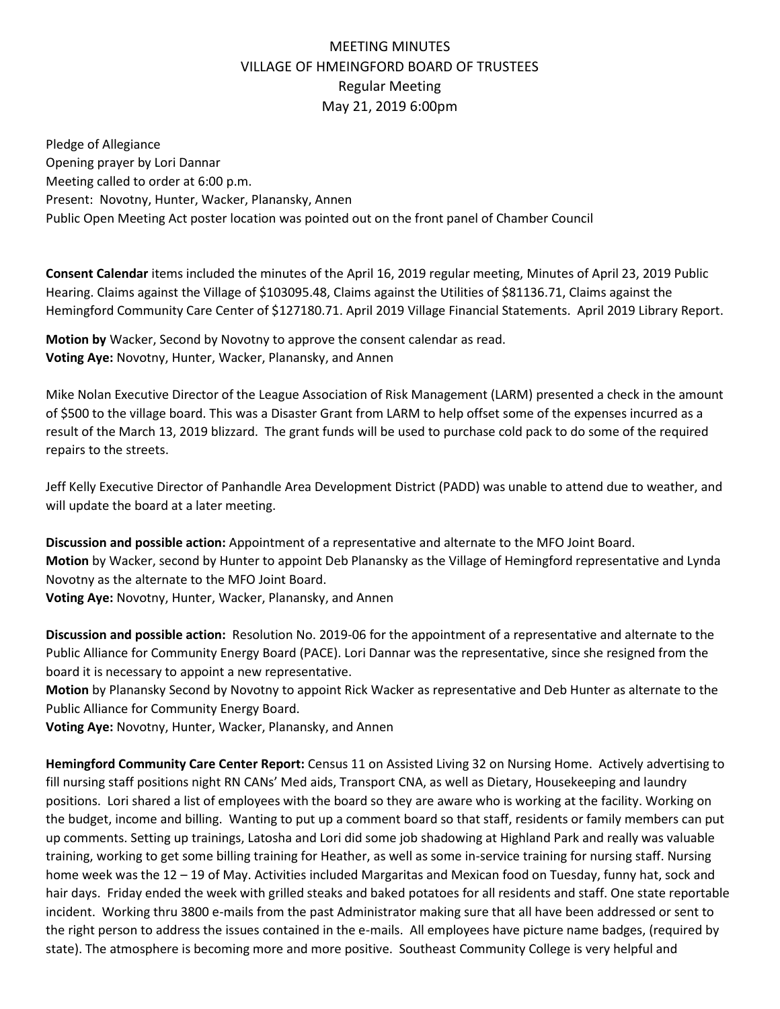## MEETING MINUTES VILLAGE OF HMEINGFORD BOARD OF TRUSTEES Regular Meeting May 21, 2019 6:00pm

Pledge of Allegiance Opening prayer by Lori Dannar Meeting called to order at 6:00 p.m. Present: Novotny, Hunter, Wacker, Planansky, Annen Public Open Meeting Act poster location was pointed out on the front panel of Chamber Council

**Consent Calendar** items included the minutes of the April 16, 2019 regular meeting, Minutes of April 23, 2019 Public Hearing. Claims against the Village of \$103095.48, Claims against the Utilities of \$81136.71, Claims against the Hemingford Community Care Center of \$127180.71. April 2019 Village Financial Statements. April 2019 Library Report.

**Motion by** Wacker, Second by Novotny to approve the consent calendar as read. **Voting Aye:** Novotny, Hunter, Wacker, Planansky, and Annen

Mike Nolan Executive Director of the League Association of Risk Management (LARM) presented a check in the amount of \$500 to the village board. This was a Disaster Grant from LARM to help offset some of the expenses incurred as a result of the March 13, 2019 blizzard. The grant funds will be used to purchase cold pack to do some of the required repairs to the streets.

Jeff Kelly Executive Director of Panhandle Area Development District (PADD) was unable to attend due to weather, and will update the board at a later meeting.

**Discussion and possible action:** Appointment of a representative and alternate to the MFO Joint Board. **Motion** by Wacker, second by Hunter to appoint Deb Planansky as the Village of Hemingford representative and Lynda Novotny as the alternate to the MFO Joint Board. **Voting Aye:** Novotny, Hunter, Wacker, Planansky, and Annen

**Discussion and possible action:** Resolution No. 2019-06 for the appointment of a representative and alternate to the Public Alliance for Community Energy Board (PACE). Lori Dannar was the representative, since she resigned from the board it is necessary to appoint a new representative.

**Motion** by Planansky Second by Novotny to appoint Rick Wacker as representative and Deb Hunter as alternate to the Public Alliance for Community Energy Board.

**Voting Aye:** Novotny, Hunter, Wacker, Planansky, and Annen

**Hemingford Community Care Center Report:** Census 11 on Assisted Living 32 on Nursing Home. Actively advertising to fill nursing staff positions night RN CANs' Med aids, Transport CNA, as well as Dietary, Housekeeping and laundry positions. Lori shared a list of employees with the board so they are aware who is working at the facility. Working on the budget, income and billing. Wanting to put up a comment board so that staff, residents or family members can put up comments. Setting up trainings, Latosha and Lori did some job shadowing at Highland Park and really was valuable training, working to get some billing training for Heather, as well as some in-service training for nursing staff. Nursing home week was the 12 – 19 of May. Activities included Margaritas and Mexican food on Tuesday, funny hat, sock and hair days. Friday ended the week with grilled steaks and baked potatoes for all residents and staff. One state reportable incident. Working thru 3800 e-mails from the past Administrator making sure that all have been addressed or sent to the right person to address the issues contained in the e-mails. All employees have picture name badges, (required by state). The atmosphere is becoming more and more positive. Southeast Community College is very helpful and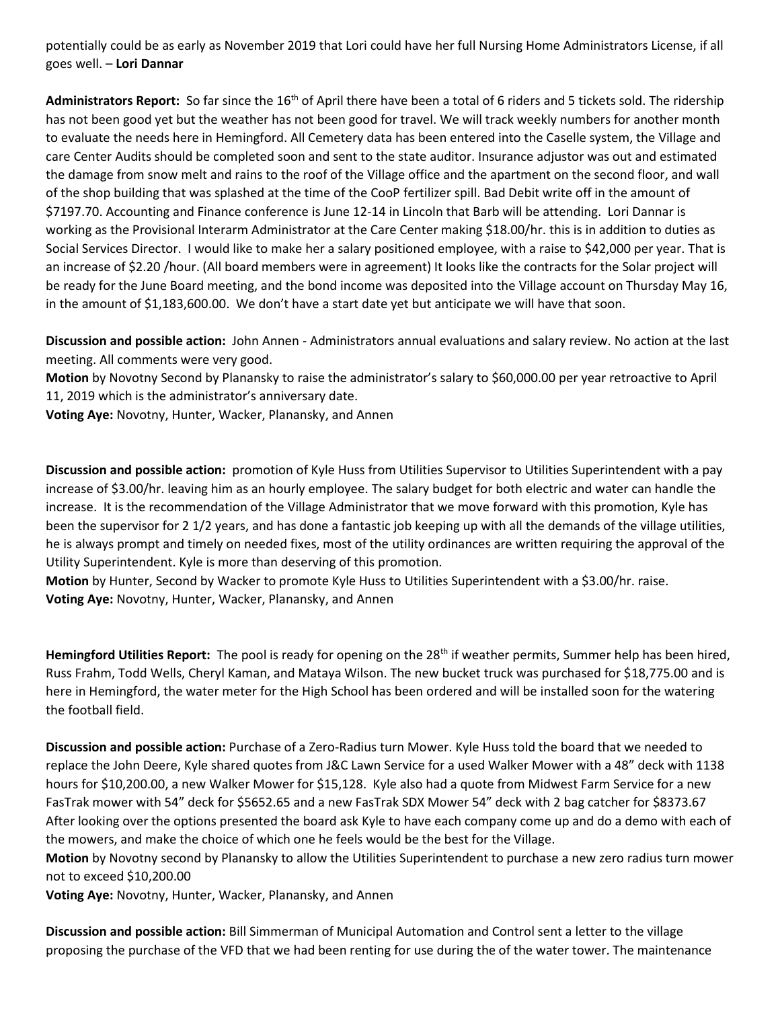potentially could be as early as November 2019 that Lori could have her full Nursing Home Administrators License, if all goes well. – **Lori Dannar**

**Administrators Report:** So far since the 16th of April there have been a total of 6 riders and 5 tickets sold. The ridership has not been good yet but the weather has not been good for travel. We will track weekly numbers for another month to evaluate the needs here in Hemingford. All Cemetery data has been entered into the Caselle system, the Village and care Center Audits should be completed soon and sent to the state auditor. Insurance adjustor was out and estimated the damage from snow melt and rains to the roof of the Village office and the apartment on the second floor, and wall of the shop building that was splashed at the time of the CooP fertilizer spill. Bad Debit write off in the amount of \$7197.70. Accounting and Finance conference is June 12-14 in Lincoln that Barb will be attending. Lori Dannar is working as the Provisional Interarm Administrator at the Care Center making \$18.00/hr. this is in addition to duties as Social Services Director. I would like to make her a salary positioned employee, with a raise to \$42,000 per year. That is an increase of \$2.20 /hour. (All board members were in agreement) It looks like the contracts for the Solar project will be ready for the June Board meeting, and the bond income was deposited into the Village account on Thursday May 16, in the amount of \$1,183,600.00. We don't have a start date yet but anticipate we will have that soon.

**Discussion and possible action:** John Annen - Administrators annual evaluations and salary review. No action at the last meeting. All comments were very good.

**Motion** by Novotny Second by Planansky to raise the administrator's salary to \$60,000.00 per year retroactive to April 11, 2019 which is the administrator's anniversary date.

**Voting Aye:** Novotny, Hunter, Wacker, Planansky, and Annen

**Discussion and possible action:** promotion of Kyle Huss from Utilities Supervisor to Utilities Superintendent with a pay increase of \$3.00/hr. leaving him as an hourly employee. The salary budget for both electric and water can handle the increase. It is the recommendation of the Village Administrator that we move forward with this promotion, Kyle has been the supervisor for 2 1/2 years, and has done a fantastic job keeping up with all the demands of the village utilities, he is always prompt and timely on needed fixes, most of the utility ordinances are written requiring the approval of the Utility Superintendent. Kyle is more than deserving of this promotion.

**Motion** by Hunter, Second by Wacker to promote Kyle Huss to Utilities Superintendent with a \$3.00/hr. raise. **Voting Aye:** Novotny, Hunter, Wacker, Planansky, and Annen

Hemingford Utilities Report: The pool is ready for opening on the 28<sup>th</sup> if weather permits, Summer help has been hired, Russ Frahm, Todd Wells, Cheryl Kaman, and Mataya Wilson. The new bucket truck was purchased for \$18,775.00 and is here in Hemingford, the water meter for the High School has been ordered and will be installed soon for the watering the football field.

**Discussion and possible action:** Purchase of a Zero-Radius turn Mower. Kyle Huss told the board that we needed to replace the John Deere, Kyle shared quotes from J&C Lawn Service for a used Walker Mower with a 48" deck with 1138 hours for \$10,200.00, a new Walker Mower for \$15,128. Kyle also had a quote from Midwest Farm Service for a new FasTrak mower with 54" deck for \$5652.65 and a new FasTrak SDX Mower 54" deck with 2 bag catcher for \$8373.67 After looking over the options presented the board ask Kyle to have each company come up and do a demo with each of the mowers, and make the choice of which one he feels would be the best for the Village.

**Motion** by Novotny second by Planansky to allow the Utilities Superintendent to purchase a new zero radius turn mower not to exceed \$10,200.00

**Voting Aye:** Novotny, Hunter, Wacker, Planansky, and Annen

**Discussion and possible action:** Bill Simmerman of Municipal Automation and Control sent a letter to the village proposing the purchase of the VFD that we had been renting for use during the of the water tower. The maintenance